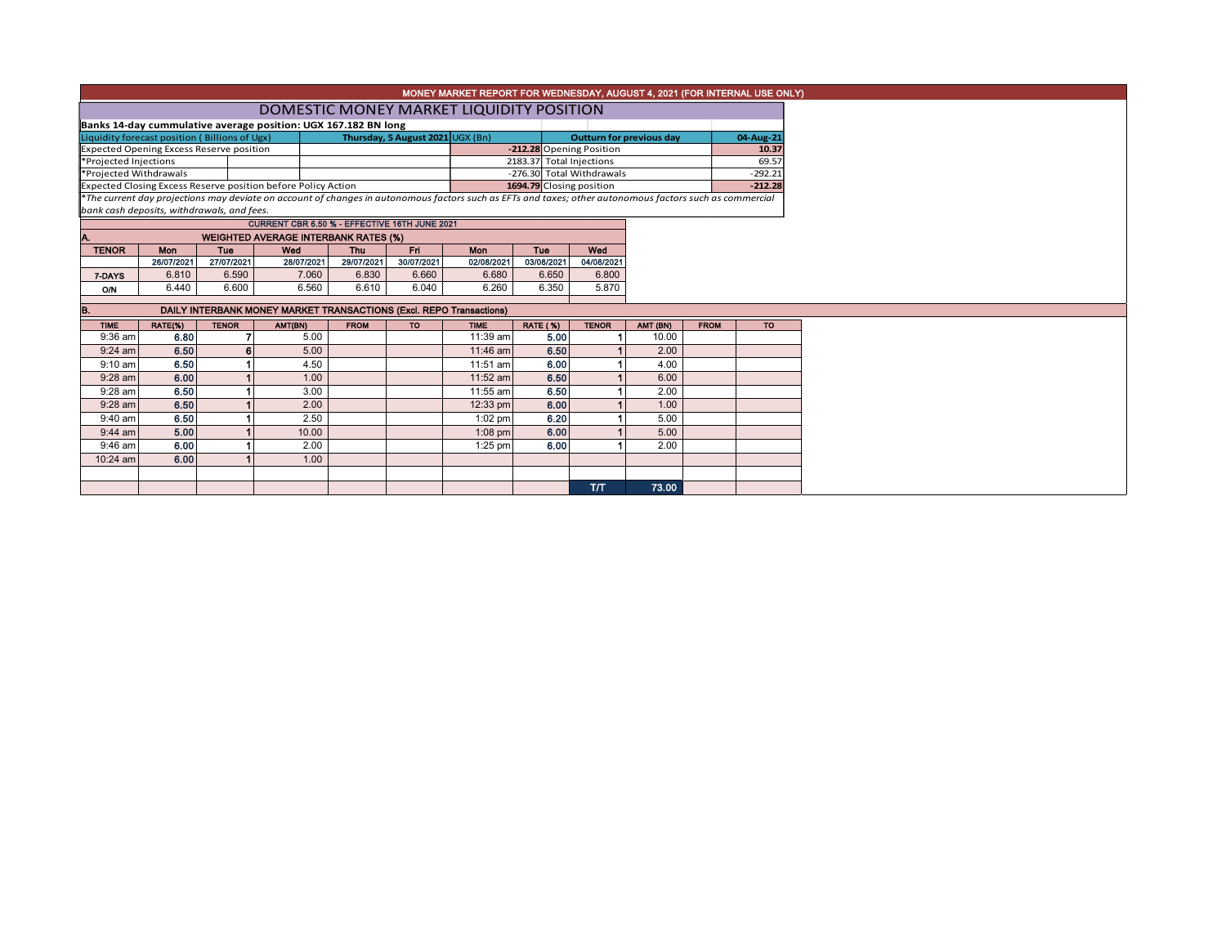|                                                                                                                                                          | MONEY MARKET REPORT FOR WEDNESDAY, AUGUST 4, 2021 (FOR INTERNAL USE ONLY) |              |                                                                     |                   |                                  |                   |                          |                                 |          |             |           |  |  |  |
|----------------------------------------------------------------------------------------------------------------------------------------------------------|---------------------------------------------------------------------------|--------------|---------------------------------------------------------------------|-------------------|----------------------------------|-------------------|--------------------------|---------------------------------|----------|-------------|-----------|--|--|--|
|                                                                                                                                                          | DOMESTIC MONEY MARKET LIQUIDITY POSITION                                  |              |                                                                     |                   |                                  |                   |                          |                                 |          |             |           |  |  |  |
|                                                                                                                                                          | Banks 14-day cummulative average position: UGX 167.182 BN long            |              |                                                                     |                   |                                  |                   |                          |                                 |          |             |           |  |  |  |
| Liquidity forecast position (Billions of Ugx)                                                                                                            |                                                                           |              |                                                                     |                   | Thursday, 5 August 2021 UGX (Bn) |                   |                          | <b>Outturn for previous day</b> |          |             | 04-Aug-21 |  |  |  |
| Expected Opening Excess Reserve position                                                                                                                 |                                                                           |              |                                                                     |                   |                                  |                   |                          | -212.28 Opening Position        |          |             | 10.37     |  |  |  |
| *Projected Injections                                                                                                                                    |                                                                           |              |                                                                     |                   |                                  |                   |                          | 2183.37 Total Injections        |          |             | 69.57     |  |  |  |
| *Projected Withdrawals                                                                                                                                   |                                                                           |              |                                                                     |                   |                                  |                   |                          | -276.30 Total Withdrawals       |          |             | $-292.21$ |  |  |  |
|                                                                                                                                                          |                                                                           |              | Expected Closing Excess Reserve position before Policy Action       |                   |                                  |                   | 1694.79 Closing position |                                 |          | $-212.28$   |           |  |  |  |
| *The current day projections may deviate on account of changes in autonomous factors such as EFTs and taxes; other autonomous factors such as commercial |                                                                           |              |                                                                     |                   |                                  |                   |                          |                                 |          |             |           |  |  |  |
| bank cash deposits, withdrawals, and fees.<br>CURRENT CBR 6.50 % - EFFECTIVE 16TH JUNE 2021                                                              |                                                                           |              |                                                                     |                   |                                  |                   |                          |                                 |          |             |           |  |  |  |
|                                                                                                                                                          |                                                                           |              |                                                                     |                   |                                  |                   |                          |                                 |          |             |           |  |  |  |
| <b>TENOR</b>                                                                                                                                             | <b>Mon</b>                                                                | Tue          | <b>WEIGHTED AVERAGE INTERBANK RATES (%)</b><br>Wed                  | Wed               |                                  |                   |                          |                                 |          |             |           |  |  |  |
|                                                                                                                                                          | 26/07/2021                                                                | 27/07/2021   | 28/07/2021                                                          | Thu<br>29/07/2021 | Fri.<br>30/07/2021               | Mon<br>02/08/2021 | <b>Tue</b><br>03/08/2021 | 04/08/2021                      |          |             |           |  |  |  |
| 7-DAYS                                                                                                                                                   | 6.810                                                                     | 6.590        | 7.060                                                               | 6.830             | 6.660                            | 6.680             | 6.650                    | 6.800                           |          |             |           |  |  |  |
| <b>O/N</b>                                                                                                                                               | 6.440                                                                     | 6.600        | 6.560                                                               | 6.610             | 6.040                            | 6.260             | 6.350                    | 5.870                           |          |             |           |  |  |  |
|                                                                                                                                                          |                                                                           |              |                                                                     |                   |                                  |                   |                          |                                 |          |             |           |  |  |  |
|                                                                                                                                                          |                                                                           |              | DAILY INTERBANK MONEY MARKET TRANSACTIONS (Excl. REPO Transactions) |                   |                                  |                   |                          |                                 |          |             |           |  |  |  |
| <b>TIME</b>                                                                                                                                              | RATE(%)                                                                   | <b>TENOR</b> | AMT(BN)                                                             | <b>FROM</b>       | <b>TO</b>                        | <b>TIME</b>       | <b>RATE (%)</b>          | <b>TENOR</b>                    | AMT (BN) | <b>FROM</b> | <b>TO</b> |  |  |  |
| $9:36$ am                                                                                                                                                | 6.80                                                                      |              | 5.00                                                                |                   |                                  | 11:39 am          | 5.00                     |                                 | 10.00    |             |           |  |  |  |
| $9:24$ am                                                                                                                                                | 6.50                                                                      | 6            | 5.00                                                                |                   |                                  | 11:46 am          | 6.50                     |                                 | 2.00     |             |           |  |  |  |
| $9:10$ am                                                                                                                                                | 6.50                                                                      |              | 4.50                                                                |                   |                                  | 11:51 am          | 6.00                     |                                 | 4.00     |             |           |  |  |  |
| $9:28$ am                                                                                                                                                | 6.00                                                                      |              | 1.00                                                                |                   |                                  | 11:52 am          | 6.50                     |                                 | 6.00     |             |           |  |  |  |
| 9:28 am                                                                                                                                                  | 6.50                                                                      |              | 3.00                                                                |                   |                                  | 11:55 am          | 6.50                     |                                 | 2.00     |             |           |  |  |  |
| $9:28$ am                                                                                                                                                | 6.50                                                                      |              | 2.00                                                                |                   |                                  | 12:33 pm          | 6.00                     |                                 | 1.00     |             |           |  |  |  |
| 9:40 am                                                                                                                                                  | 6.50                                                                      |              | 2.50                                                                |                   |                                  | $1:02$ pm         | 6.20                     |                                 | 5.00     |             |           |  |  |  |
| $9:44$ am                                                                                                                                                | 5.00                                                                      |              | 10.00                                                               |                   |                                  | $1:08$ pm         | 6.00                     |                                 | 5.00     |             |           |  |  |  |
| 9:46 am                                                                                                                                                  | 6.00                                                                      |              | 2.00                                                                |                   |                                  | $1:25$ pm         | 6.00                     |                                 | 2.00     |             |           |  |  |  |
| 10:24 am                                                                                                                                                 | 6.00                                                                      |              | 1.00                                                                |                   |                                  |                   |                          |                                 |          |             |           |  |  |  |
|                                                                                                                                                          |                                                                           |              |                                                                     |                   |                                  |                   |                          |                                 |          |             |           |  |  |  |
|                                                                                                                                                          |                                                                           |              |                                                                     |                   |                                  |                   |                          | T/T                             | 73.00    |             |           |  |  |  |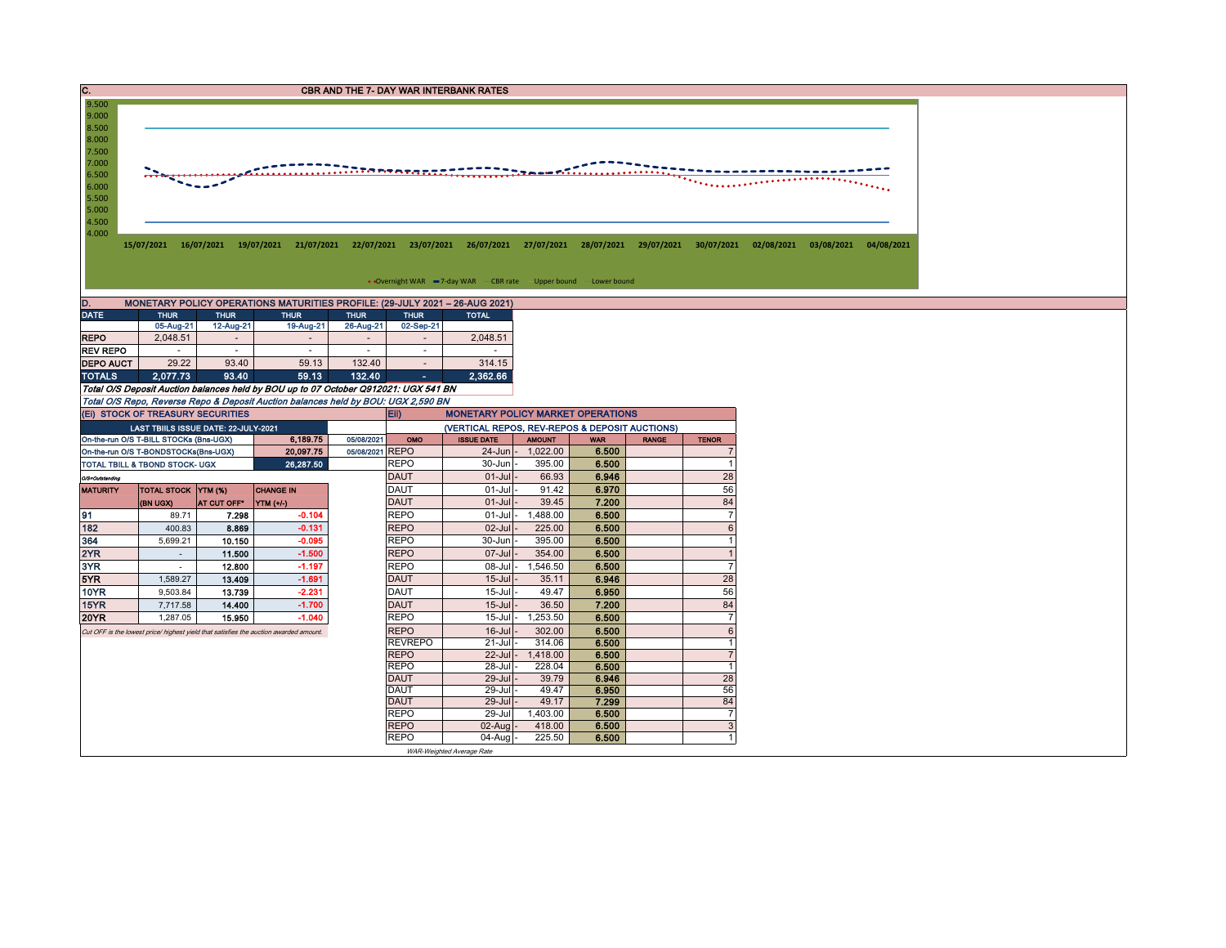| $\overline{\mathbf{c}}$ .                                                                                | CBR AND THE 7- DAY WAR INTERBANK RATES                                         |                          |                                                                                                                                                           |                               |                            |                                                |                                    |                     |              |                   |  |  |  |  |
|----------------------------------------------------------------------------------------------------------|--------------------------------------------------------------------------------|--------------------------|-----------------------------------------------------------------------------------------------------------------------------------------------------------|-------------------------------|----------------------------|------------------------------------------------|------------------------------------|---------------------|--------------|-------------------|--|--|--|--|
| 9.500<br>9.000<br>8.500<br>8.000<br>7.500<br>7.000<br>6.500<br>6.000<br>5.500<br>5.000<br>4.500<br>4.000 |                                                                                |                          | 15/07/2021 16/07/2021 19/07/2021 21/07/2021 22/07/2021 23/07/2021 26/07/2021 27/07/2021 28/07/2021 29/07/2021 30/07/2021 02/08/2021 03/08/2021 04/08/2021 |                               |                            |                                                |                                    |                     |              |                   |  |  |  |  |
|                                                                                                          |                                                                                |                          |                                                                                                                                                           |                               |                            |                                                |                                    |                     |              |                   |  |  |  |  |
|                                                                                                          | • Overnight WAR -7-day WAR - CBR rate -Upper bound - Lower bound               |                          |                                                                                                                                                           |                               |                            |                                                |                                    |                     |              |                   |  |  |  |  |
| D.                                                                                                       |                                                                                |                          | MONETARY POLICY OPERATIONS MATURITIES PROFILE: (29-JULY 2021 - 26-AUG 2021)                                                                               |                               |                            |                                                |                                    |                     |              |                   |  |  |  |  |
| <b>DATE</b>                                                                                              | <b>THUR</b><br>05-Aug-21                                                       | <b>THUR</b><br>12-Aug-21 | <b>THUR</b><br>19-Aug-21                                                                                                                                  | <b>THUR</b><br>26-Aug-21      | <b>THUR</b><br>02-Sep-21   | <b>TOTAL</b>                                   |                                    |                     |              |                   |  |  |  |  |
| <b>REPO</b>                                                                                              | 2,048.51                                                                       | $\sim$                   | $\sim$                                                                                                                                                    | $\overline{\phantom{a}}$      | $\sim$                     | 2,048.51                                       |                                    |                     |              |                   |  |  |  |  |
| <b>REV REPO</b>                                                                                          |                                                                                | $\sim$                   |                                                                                                                                                           | $\sim$                        | $\sim$                     | $\sim$                                         |                                    |                     |              |                   |  |  |  |  |
| <b>DEPO AUCT</b>                                                                                         | 29.22                                                                          | 93.40                    | 59.13                                                                                                                                                     | 132.40                        | $\sim$                     | 314.15                                         |                                    |                     |              |                   |  |  |  |  |
| <b>TOTALS</b>                                                                                            | 2,077.73                                                                       | 93.40                    | 59.13                                                                                                                                                     | 132.40                        | $\sim$                     | 2,362.66                                       |                                    |                     |              |                   |  |  |  |  |
|                                                                                                          |                                                                                |                          | Total O/S Deposit Auction balances held by BOU up to 07 October Q912021: UGX 541 BN                                                                       |                               |                            |                                                |                                    |                     |              |                   |  |  |  |  |
|                                                                                                          |                                                                                |                          | Total O/S Repo, Reverse Repo & Deposit Auction balances held by BOU: UGX 2,590 BN                                                                         |                               |                            |                                                |                                    |                     |              |                   |  |  |  |  |
|                                                                                                          | (EI) STOCK OF TREASURY SECURITIES                                              |                          |                                                                                                                                                           |                               | Eii)                       | <b>MONETARY POLICY MARKET OPERATIONS</b>       |                                    |                     |              |                   |  |  |  |  |
|                                                                                                          | LAST TBIILS ISSUE DATE: 22-JULY-2021                                           |                          |                                                                                                                                                           |                               |                            | (VERTICAL REPOS, REV-REPOS & DEPOSIT AUCTIONS) |                                    |                     |              |                   |  |  |  |  |
|                                                                                                          | On-the-run O/S T-BILL STOCKs (Bns-UGX)<br>On-the-run O/S T-BONDSTOCKs(Bns-UGX) |                          | 6,189.75<br>20,097.75                                                                                                                                     | 05/08/2021<br>05/08/2021 REPO | OMO                        | <b>ISSUE DATE</b>                              | <b>AMOUNT</b><br>24-Jun - 1,022.00 | <b>WAR</b><br>6.500 | <b>RANGE</b> | <b>TENOR</b><br>7 |  |  |  |  |
|                                                                                                          | TOTAL TBILL & TBOND STOCK- UGX                                                 |                          | 26,287.50                                                                                                                                                 |                               | <b>REPO</b>                | $30 - Jun$                                     | 395.00                             | 6.500               |              | $\mathbf{1}$      |  |  |  |  |
| O/S=Outstanding                                                                                          |                                                                                |                          |                                                                                                                                                           |                               | <b>DAUT</b>                | $01$ -Jul                                      | 66.93                              | 6.946               |              | 28                |  |  |  |  |
| <b>MATURITY</b>                                                                                          | <b>TOTAL STOCK YTM (%)</b>                                                     |                          | <b>CHANGE IN</b>                                                                                                                                          |                               | <b>DAUT</b>                | $01 -$ Jul                                     | 91.42                              | 6.970               |              | 56                |  |  |  |  |
|                                                                                                          | (BN UGX)                                                                       | AT CUT OFF*              | YTM (+/-)                                                                                                                                                 |                               | <b>DAUT</b>                | $01 -$ Jul                                     | 39.45                              | 7.200               |              | 84                |  |  |  |  |
| 91                                                                                                       | 89.71                                                                          | 7.298                    | $-0.104$                                                                                                                                                  |                               | <b>REPO</b>                | $01$ -Jul-                                     | 1,488.00                           | 6.500               |              | $\overline{7}$    |  |  |  |  |
| 182                                                                                                      | 400.83                                                                         | 8.869                    | $-0.131$                                                                                                                                                  |                               | <b>REPO</b>                | $02$ -Jul                                      | 225.00                             | 6.500               |              | $6\phantom{1}$    |  |  |  |  |
| 364                                                                                                      | 5,699.21                                                                       | 10.150                   | $-0.095$                                                                                                                                                  |                               | <b>REPO</b>                | 30-Jun                                         | 395.00                             | 6.500               |              | $\mathbf{1}$      |  |  |  |  |
| 2YR                                                                                                      | $\mathcal{L}_{\mathcal{A}}$                                                    | 11.500                   | $-1.500$                                                                                                                                                  |                               | <b>REPO</b>                | 07-Jul                                         | 354.00                             | 6.500               |              | $\mathbf{1}$      |  |  |  |  |
| 3YR                                                                                                      | $\sim$                                                                         | 12.800                   | $-1.197$<br>$-1.691$                                                                                                                                      |                               | <b>REPO</b><br><b>DAUT</b> | $08 -$ Jul                                     | 1,546.50                           | 6.500               |              | $\overline{7}$    |  |  |  |  |
| 5YR<br>10YR                                                                                              | 1,589.27<br>9,503.84                                                           | 13.409<br>13.739         | $-2.231$                                                                                                                                                  |                               | <b>DAUT</b>                | $15$ -Jul<br>$15$ -Jul                         | 35.11<br>49.47                     | 6.946<br>6.950      |              | 28<br>56          |  |  |  |  |
| 15YR                                                                                                     | 7,717.58                                                                       | 14.400                   | $-1.700$                                                                                                                                                  |                               | <b>DAUT</b>                | $15$ -Jul                                      | 36.50                              | 7.200               |              | 84                |  |  |  |  |
| <b>20YR</b>                                                                                              | 1,287.05                                                                       | 15.950                   | $-1.040$                                                                                                                                                  |                               | <b>REPO</b>                | $15$ -Jul                                      | 1,253.50                           | 6.500               |              | $\overline{7}$    |  |  |  |  |
|                                                                                                          |                                                                                |                          | Cut OFF is the lowest price/ highest yield that satisfies the auction awarded amount.                                                                     |                               | <b>REPO</b>                | $16$ -Jul                                      | 302.00                             | 6.500               |              | $6\phantom{1}$    |  |  |  |  |
|                                                                                                          |                                                                                |                          |                                                                                                                                                           |                               | <b>REVREPO</b>             | 21-Jul                                         | 314.06                             | 6.500               |              | $\overline{1}$    |  |  |  |  |
|                                                                                                          |                                                                                |                          |                                                                                                                                                           |                               | <b>REPO</b>                | 22-Jul                                         | 1,418.00                           | 6.500               |              | $\overline{7}$    |  |  |  |  |
|                                                                                                          |                                                                                |                          |                                                                                                                                                           |                               | <b>REPO</b>                | 28-Jul                                         | 228.04                             | 6.500               |              | $\mathbf{1}$      |  |  |  |  |
|                                                                                                          |                                                                                |                          |                                                                                                                                                           |                               | <b>DAUT</b><br><b>DAUT</b> | 29-Jul<br>29-Jul                               | 39.79<br>49.47                     | 6.946<br>6.950      |              | 28<br>56          |  |  |  |  |
|                                                                                                          |                                                                                |                          |                                                                                                                                                           |                               | <b>DAUT</b>                | $29$ -Jul                                      | 49.17                              | 7.299               |              | 84                |  |  |  |  |
|                                                                                                          |                                                                                |                          |                                                                                                                                                           |                               | <b>REPO</b>                | 29-Jul                                         | 1,403.00                           | 6.500               |              | $\overline{7}$    |  |  |  |  |
| <b>REPO</b><br>6.500<br>$\mathbf{3}$<br>02-Aug<br>418.00                                                 |                                                                                |                          |                                                                                                                                                           |                               |                            |                                                |                                    |                     |              |                   |  |  |  |  |
|                                                                                                          |                                                                                |                          |                                                                                                                                                           |                               | <b>REPO</b>                | $04$ -Aug                                      | 225.50                             | 6.500               |              | 1                 |  |  |  |  |
|                                                                                                          |                                                                                |                          |                                                                                                                                                           |                               |                            | WAR-Weighted Average Rate                      |                                    |                     |              |                   |  |  |  |  |